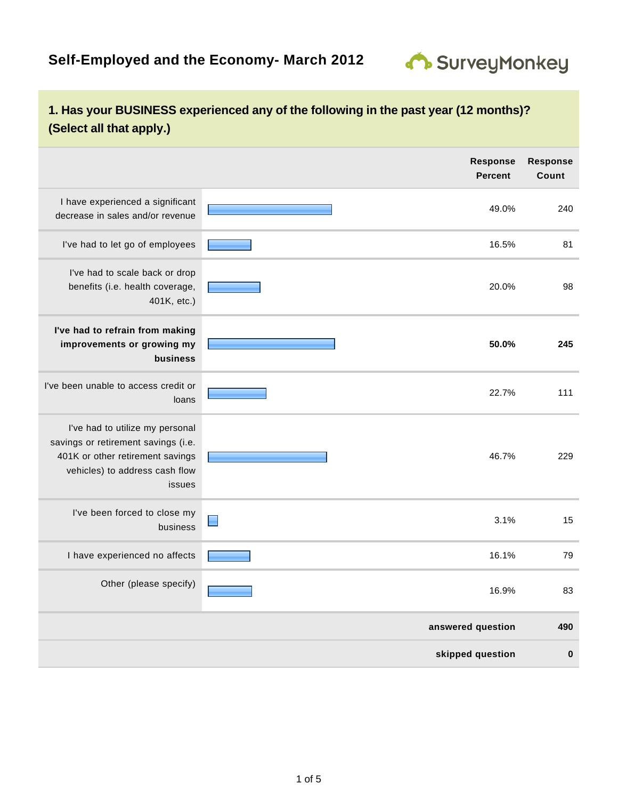

## **1. Has your BUSINESS experienced any of the following in the past year (12 months)? (Select all that apply.)**

|                                                                                                                                                        | <b>Response</b><br><b>Percent</b> | <b>Response</b><br>Count |
|--------------------------------------------------------------------------------------------------------------------------------------------------------|-----------------------------------|--------------------------|
| I have experienced a significant<br>decrease in sales and/or revenue                                                                                   | 49.0%                             | 240                      |
| I've had to let go of employees                                                                                                                        | 16.5%                             | 81                       |
| I've had to scale back or drop<br>benefits (i.e. health coverage,<br>401K, etc.)                                                                       | 20.0%                             | 98                       |
| I've had to refrain from making<br>improvements or growing my<br>business                                                                              | 50.0%                             | 245                      |
| I've been unable to access credit or<br>loans                                                                                                          | 22.7%                             | 111                      |
| I've had to utilize my personal<br>savings or retirement savings (i.e.<br>401K or other retirement savings<br>vehicles) to address cash flow<br>issues | 46.7%                             | 229                      |
| I've been forced to close my<br>business                                                                                                               | 3.1%                              | 15                       |
| I have experienced no affects                                                                                                                          | 16.1%                             | 79                       |
| Other (please specify)                                                                                                                                 | 16.9%                             | 83                       |
|                                                                                                                                                        | answered question                 | 490                      |
|                                                                                                                                                        | skipped question                  | $\bf{0}$                 |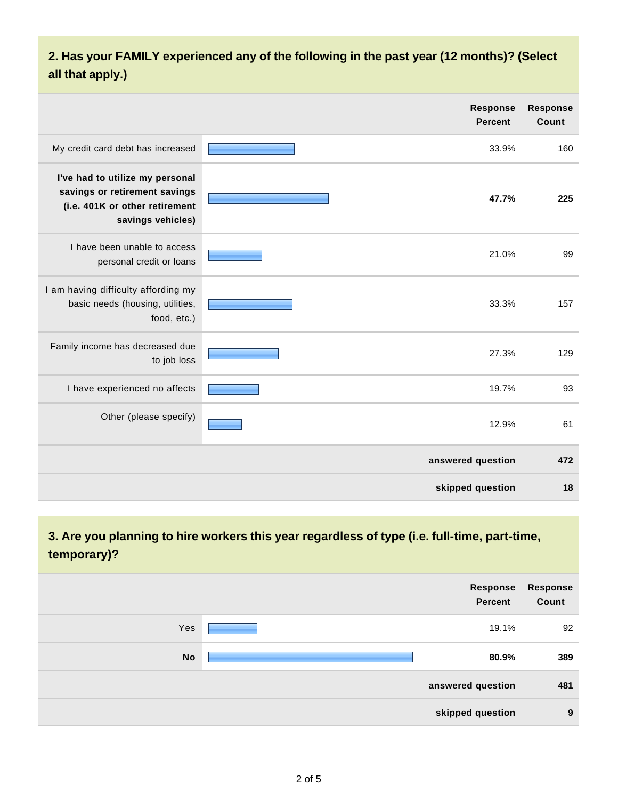# **2. Has your FAMILY experienced any of the following in the past year (12 months)? (Select all that apply.)**

|                                                                                                                         | <b>Response</b><br><b>Percent</b> | <b>Response</b><br>Count |
|-------------------------------------------------------------------------------------------------------------------------|-----------------------------------|--------------------------|
| My credit card debt has increased                                                                                       | 33.9%                             | 160                      |
| I've had to utilize my personal<br>savings or retirement savings<br>(i.e. 401K or other retirement<br>savings vehicles) | 47.7%                             | 225                      |
| I have been unable to access<br>personal credit or loans                                                                | 21.0%                             | 99                       |
| I am having difficulty affording my<br>basic needs (housing, utilities,<br>food, etc.)                                  | 33.3%                             | 157                      |
| Family income has decreased due<br>to job loss                                                                          | 27.3%                             | 129                      |
| I have experienced no affects                                                                                           | 19.7%                             | 93                       |
| Other (please specify)                                                                                                  | 12.9%                             | 61                       |
|                                                                                                                         | answered question                 | 472                      |
|                                                                                                                         | skipped question                  | 18                       |

## **3. Are you planning to hire workers this year regardless of type (i.e. full-time, part-time, temporary)?**

|           | Response<br>Percent | Response<br>Count |
|-----------|---------------------|-------------------|
| Yes       | 19.1%               | 92                |
| <b>No</b> | 80.9%               | 389               |
|           | answered question   | 481               |
|           | skipped question    | 9                 |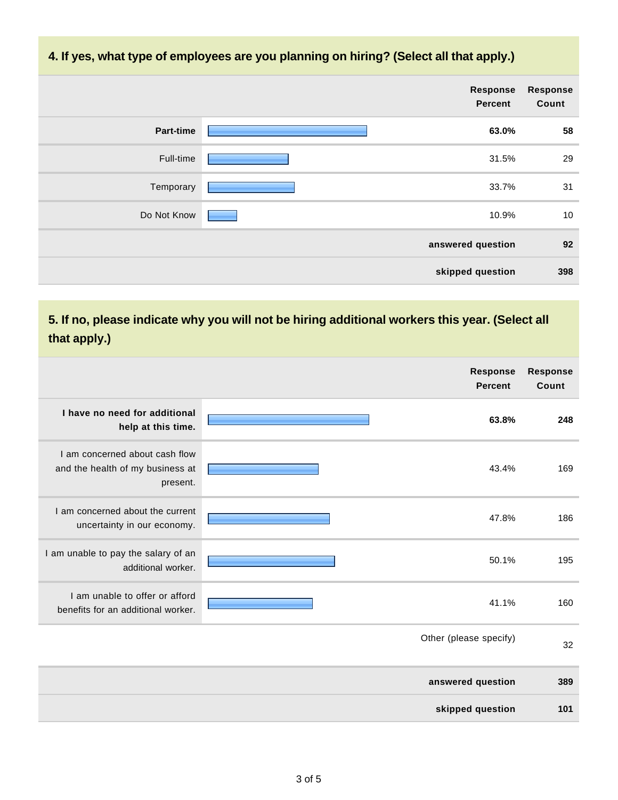### **4. If yes, what type of employees are you planning on hiring? (Select all that apply.)**

|                  | Response<br><b>Percent</b> | Response<br>Count |
|------------------|----------------------------|-------------------|
| <b>Part-time</b> | 63.0%                      | 58                |
| Full-time        | 31.5%                      | 29                |
| Temporary        | 33.7%                      | 31                |
| Do Not Know      | 10.9%                      | 10                |
|                  | answered question          | 92                |
|                  | skipped question           | 398               |

# **5. If no, please indicate why you will not be hiring additional workers this year. (Select all that apply.)**

|                                                                                | <b>Response</b><br><b>Percent</b> | <b>Response</b><br>Count |
|--------------------------------------------------------------------------------|-----------------------------------|--------------------------|
| I have no need for additional<br>help at this time.                            | 63.8%                             | 248                      |
| I am concerned about cash flow<br>and the health of my business at<br>present. | 43.4%                             | 169                      |
| I am concerned about the current<br>uncertainty in our economy.                | 47.8%                             | 186                      |
| I am unable to pay the salary of an<br>additional worker.                      | 50.1%                             | 195                      |
| I am unable to offer or afford<br>benefits for an additional worker.           | 41.1%                             | 160                      |
|                                                                                | Other (please specify)            | 32                       |
|                                                                                | answered question                 | 389                      |
|                                                                                | skipped question                  | 101                      |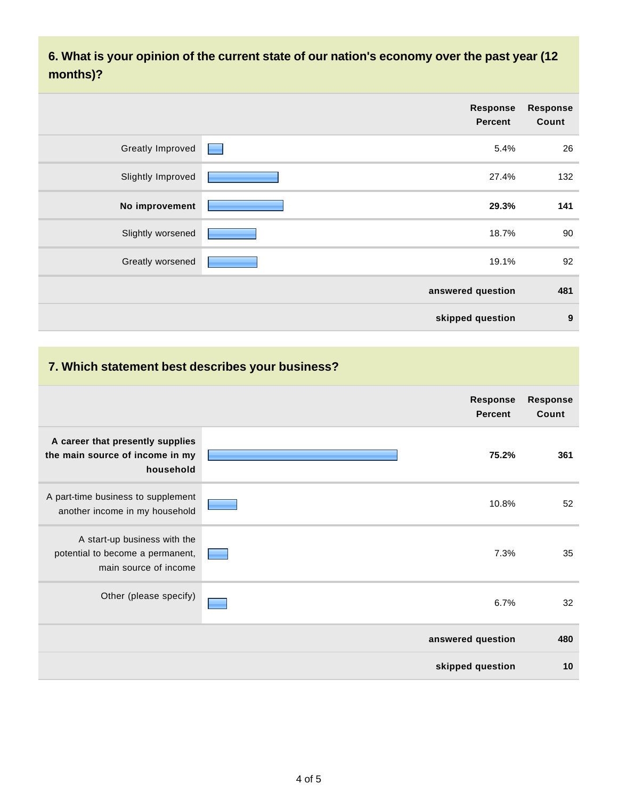**6. What is your opinion of the current state of our nation's economy over the past year (12 months)?**

|                         | <b>Response</b><br><b>Percent</b> | <b>Response</b><br>Count |
|-------------------------|-----------------------------------|--------------------------|
| <b>Greatly Improved</b> | 5.4%<br><b>Research</b>           | 26                       |
| Slightly Improved       | 27.4%                             | 132                      |
| No improvement          | 29.3%                             | 141                      |
| Slightly worsened       | 18.7%                             | 90                       |
| Greatly worsened        | 19.1%                             | 92                       |
|                         | answered question                 | 481                      |
|                         | skipped question                  | 9                        |

### **7. Which statement best describes your business?**

|                                                                                           | Response<br><b>Percent</b> | <b>Response</b><br>Count |
|-------------------------------------------------------------------------------------------|----------------------------|--------------------------|
| A career that presently supplies<br>the main source of income in my<br>household          | 75.2%                      | 361                      |
| A part-time business to supplement<br>another income in my household                      | 10.8%                      | 52                       |
| A start-up business with the<br>potential to become a permanent,<br>main source of income | 7.3%                       | 35                       |
| Other (please specify)                                                                    | 6.7%                       | 32                       |
|                                                                                           | answered question          | 480                      |
|                                                                                           | skipped question           | 10                       |